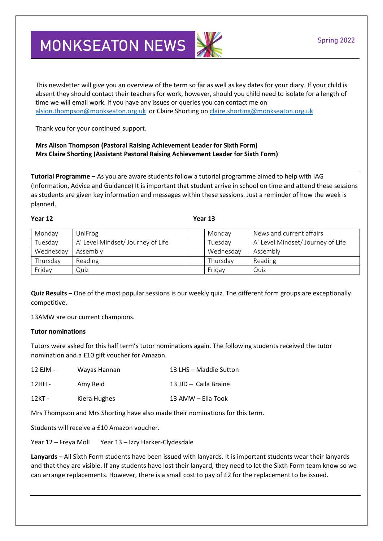## **MONKSEATON NEWS**

This newsletter will give you an overview of the term so far as well as key dates for your diary. If your child is absent they should contact their teachers for work, however, should you child need to isolate for a length of time we will email work. If you have any issues or queries you can contact me on [alsion.thompson@monkseaton.org.uk](mailto:alsion.thompson@monkseaton.org.uk) or Claire Shorting on [claire.shorting@monkseaton.org.uk](mailto:claire.shorting@monkseaton.org.uk)

Thank you for your continued support.

**Mrs Alison Thompson (Pastoral Raising Achievement Leader for Sixth Form) Mrs Claire Shorting (Assistant Pastoral Raising Achievement Leader for Sixth Form)**

**Tutorial Programme –** As you are aware students follow a tutorial programme aimed to help with IAG (Information, Advice and Guidance) It is important that student arrive in school on time and attend these sessions as students are given key information and messages within these sessions. Just a reminder of how the week is planned.

**Year 12 Year 13**

| Monday    | UniFrog                           | Monday    | News and current affairs          |
|-----------|-----------------------------------|-----------|-----------------------------------|
| Tuesday   | A' Level Mindset/ Journey of Life | Tuesday   | A' Level Mindset/ Journey of Life |
| Wednesday | Assembly                          | Wednesday | Assembly                          |
| Thursday  | Reading                           | Thursday  | Reading                           |
| Friday    | Quiz                              | Friday    | Quiz                              |

**Quiz Results –** One of the most popular sessions is our weekly quiz. The different form groups are exceptionally competitive.

13AMW are our current champions.

## **Tutor nominations**

Tutors were asked for this half term's tutor nominations again. The following students received the tutor nomination and a £10 gift voucher for Amazon.

| 12 EJM - | Wayas Hannan | 13 LHS - Maddie Sutton |
|----------|--------------|------------------------|
| 12HH -   | Amy Reid     | 13 JJD - Caila Braine  |
| 12KT -   | Kiera Hughes | 13 AMW – Ella Took     |

Mrs Thompson and Mrs Shorting have also made their nominations for this term.

Students will receive a £10 Amazon voucher.

Year 12 – Freya Moll Year 13 – Izzy Harker-Clydesdale

**Lanyards** – All Sixth Form students have been issued with lanyards. It is important students wear their lanyards and that they are visible. If any students have lost their lanyard, they need to let the Sixth Form team know so we can arrange replacements. However, there is a small cost to pay of £2 for the replacement to be issued.